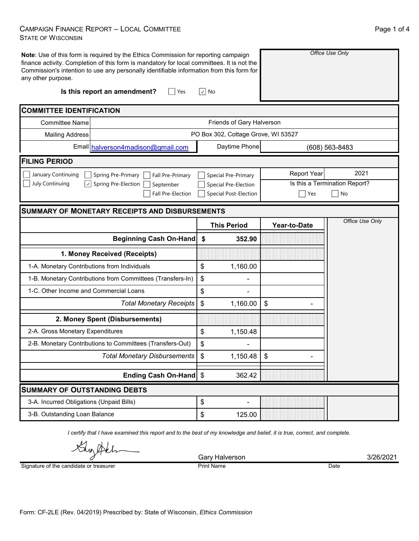## CAMPAIGN FINANCE REPORT – LOCAL COMMITTEE STATE OF WISCONSIN

| any other purpose.                                 | Note: Use of this form is required by the Ethics Commission for reporting campaign<br>finance activity. Completion of this form is mandatory for local committees. It is not the<br>Commission's intention to use any personally identifiable information from this form for |                                     | Office Use Only               |                 |  |  |  |  |
|----------------------------------------------------|------------------------------------------------------------------------------------------------------------------------------------------------------------------------------------------------------------------------------------------------------------------------------|-------------------------------------|-------------------------------|-----------------|--|--|--|--|
|                                                    | Is this report an amendment?<br>Yes                                                                                                                                                                                                                                          | $\sqrt{ }$ No                       |                               |                 |  |  |  |  |
| <b>COMMITTEE IDENTIFICATION</b>                    |                                                                                                                                                                                                                                                                              |                                     |                               |                 |  |  |  |  |
| Friends of Gary Halverson<br><b>Committee Name</b> |                                                                                                                                                                                                                                                                              |                                     |                               |                 |  |  |  |  |
| <b>Mailing Address</b>                             |                                                                                                                                                                                                                                                                              | PO Box 302, Cottage Grove, WI 53527 |                               |                 |  |  |  |  |
|                                                    | Email halverson4madison@gmail.com                                                                                                                                                                                                                                            | Daytime Phone                       | (608) 563-8483                |                 |  |  |  |  |
| <b>FILING PERIOD</b>                               |                                                                                                                                                                                                                                                                              |                                     |                               |                 |  |  |  |  |
| January Continuing                                 | Spring Pre-Primary<br>Fall Pre-Primary                                                                                                                                                                                                                                       | <b>Special Pre-Primary</b>          | <b>Report Year</b>            | 2021            |  |  |  |  |
| <b>July Continuing</b><br>$\checkmark$             | Spring Pre-Election<br>September                                                                                                                                                                                                                                             | Special Pre-Election                | Is this a Termination Report? |                 |  |  |  |  |
|                                                    | <b>Fall Pre-Election</b>                                                                                                                                                                                                                                                     | <b>Special Post-Election</b>        | Yes<br>No                     |                 |  |  |  |  |
|                                                    | <b>SUMMARY OF MONETARY RECEIPTS AND DISBURSEMENTS</b>                                                                                                                                                                                                                        |                                     |                               |                 |  |  |  |  |
|                                                    |                                                                                                                                                                                                                                                                              | <b>This Period</b>                  | Year-to-Date                  | Office Use Only |  |  |  |  |
|                                                    | <b>Beginning Cash On-Hand</b>                                                                                                                                                                                                                                                | \$<br>352.90                        |                               |                 |  |  |  |  |
|                                                    |                                                                                                                                                                                                                                                                              |                                     |                               |                 |  |  |  |  |
|                                                    | 1. Money Received (Receipts)                                                                                                                                                                                                                                                 |                                     |                               |                 |  |  |  |  |
| 1-A. Monetary Contributions from Individuals       |                                                                                                                                                                                                                                                                              | \$<br>1,160.00                      |                               |                 |  |  |  |  |
|                                                    | 1-B. Monetary Contributions from Committees (Transfers-In)                                                                                                                                                                                                                   | \$                                  |                               |                 |  |  |  |  |
| 1-C. Other Income and Commercial Loans             |                                                                                                                                                                                                                                                                              | \$                                  |                               |                 |  |  |  |  |
|                                                    | <b>Total Monetary Receipts</b>                                                                                                                                                                                                                                               | \$<br>1,160.00                      | \$                            |                 |  |  |  |  |
|                                                    | 2. Money Spent (Disbursements)                                                                                                                                                                                                                                               |                                     |                               |                 |  |  |  |  |
| 2-A. Gross Monetary Expenditures                   |                                                                                                                                                                                                                                                                              | \$<br>1,150.48                      |                               |                 |  |  |  |  |
|                                                    | 2-B. Monetary Contributions to Committees (Transfers-Out)                                                                                                                                                                                                                    | \$                                  |                               |                 |  |  |  |  |
|                                                    | <b>Total Monetary Disbursements</b>                                                                                                                                                                                                                                          | 1,150.48<br>\$                      | $\boldsymbol{\mathsf{S}}$     |                 |  |  |  |  |
|                                                    | Ending Cash On-Hand \$                                                                                                                                                                                                                                                       | 362.42                              |                               |                 |  |  |  |  |
| <b>SUMMARY OF OUTSTANDING DEBTS</b>                |                                                                                                                                                                                                                                                                              |                                     |                               |                 |  |  |  |  |
| 3-A. Incurred Obligations (Unpaid Bills)           |                                                                                                                                                                                                                                                                              | \$                                  |                               |                 |  |  |  |  |

*I certify that I have examined this report and to the best of my knowledge and belief, it is true, correct, and complete.*

์<br>∧∧

Signature of the candidate or treasurer

Gary Halverson 3/26/2021<br>Print Name **3** Print Name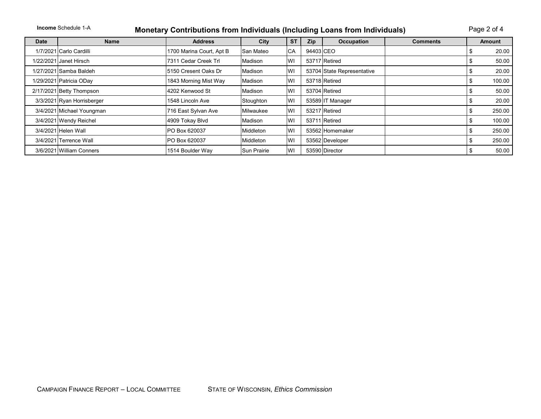| <b>Income Schedule 1-A</b><br><b>Monetary Contributions from Individuals (Including Loans from Individuals)</b> |                            |                          |             |           |            |                            |                 | Page 2 of 4 |               |  |
|-----------------------------------------------------------------------------------------------------------------|----------------------------|--------------------------|-------------|-----------|------------|----------------------------|-----------------|-------------|---------------|--|
| <b>Date</b>                                                                                                     | <b>Name</b>                | <b>Address</b>           | City        | <b>ST</b> | <b>Zip</b> | <b>Occupation</b>          | <b>Comments</b> |             | <b>Amount</b> |  |
|                                                                                                                 | 1/7/2021 Carlo Cardilli    | 1700 Marina Court, Apt B | San Mateo   | <b>CA</b> | 94403 CEO  |                            |                 | S           | 20.00         |  |
|                                                                                                                 | 1/22/2021 Janet Hirsch     | 7311 Cedar Creek Trl     | Madison     | WI        |            | 53717 Retired              |                 | Φ           | 50.00         |  |
|                                                                                                                 | 1/27/2021 Samba Baldeh     | 5150 Cresent Oaks Dr     | Madison     | WI        |            | 53704 State Representative |                 | S           | 20.00         |  |
|                                                                                                                 | 1/29/2021 Patricia ODay    | 1843 Morning Mist Way    | Madison     | WI        |            | 53718 Retired              |                 | \$          | 100.00        |  |
|                                                                                                                 | 2/17/2021 Betty Thompson   | 4202 Kenwood St          | Madison     | WI        |            | 53704 Retired              |                 | S           | 50.00         |  |
|                                                                                                                 | 3/3/2021 Ryan Horrisberger | 1548 Lincoln Ave         | Stoughton   | WI        |            | 53589 IT Manager           |                 | \$          | 20.00         |  |
|                                                                                                                 | 3/4/2021 Michael Youngman  | 716 East Sylvan Ave      | Milwaukee   | WI        |            | 53217 Retired              |                 | \$          | 250.00        |  |
|                                                                                                                 | 3/4/2021 Wendy Reichel     | 4909 Tokay Blvd          | Madison     | WI        |            | 53711 Retired              |                 | \$          | 100.00        |  |
|                                                                                                                 | 3/4/2021 Helen Wall        | PO Box 620037            | Middleton   | WI        |            | 53562 Homemaker            |                 | \$          | 250.00        |  |
|                                                                                                                 | 3/4/2021 Terrence Wall     | PO Box 620037            | Middleton   | WI        |            | 53562 Developer            |                 | \$          | 250.00        |  |
|                                                                                                                 | 3/6/2021 William Conners   | 1514 Boulder Way         | Sun Prairie | WI        |            | 53590 Director             |                 | S           | 50.00         |  |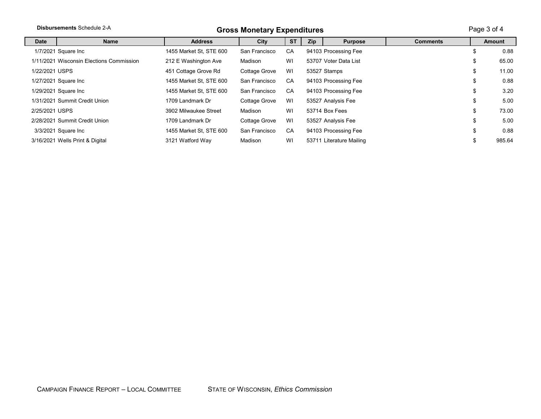| <b>Disbursements Schedule 2-A</b><br><b>Gross Monetary Expenditures</b> |                                          |                         |               |           |            | Page 3 of 4              |                 |              |
|-------------------------------------------------------------------------|------------------------------------------|-------------------------|---------------|-----------|------------|--------------------------|-----------------|--------------|
| Date                                                                    | <b>Name</b>                              | <b>Address</b>          | City          | <b>ST</b> | <b>Zip</b> | <b>Purpose</b>           | <b>Comments</b> | Amount       |
|                                                                         | 1/7/2021 Square Inc                      | 1455 Market St, STE 600 | San Francisco | CA        |            | 94103 Processing Fee     |                 | \$<br>0.88   |
|                                                                         | 1/11/2021 Wisconsin Elections Commission | 212 E Washington Ave    | Madison       | WI        |            | 53707 Voter Data List    |                 | \$<br>65.00  |
| 1/22/2021 USPS                                                          |                                          | 451 Cottage Grove Rd    | Cottage Grove | WI        |            | 53527 Stamps             |                 | \$<br>11.00  |
|                                                                         | 1/27/2021 Square Inc                     | 1455 Market St, STE 600 | San Francisco | CA        |            | 94103 Processing Fee     |                 | \$<br>0.88   |
|                                                                         | 1/29/2021 Square Inc                     | 1455 Market St, STE 600 | San Francisco | CA        |            | 94103 Processing Fee     |                 | \$<br>3.20   |
|                                                                         | 1/31/2021 Summit Credit Union            | 1709 Landmark Dr        | Cottage Grove | WI        |            | 53527 Analysis Fee       |                 | \$<br>5.00   |
| 2/25/2021 USPS                                                          |                                          | 3902 Milwaukee Street   | Madison       | WI        |            | 53714 Box Fees           |                 | \$<br>73.00  |
|                                                                         | 2/28/2021 Summit Credit Union            | 1709 Landmark Dr        | Cottage Grove | WI        |            | 53527 Analysis Fee       |                 | \$<br>5.00   |
|                                                                         | 3/3/2021 Square Inc                      | 1455 Market St. STE 600 | San Francisco | CA        |            | 94103 Processing Fee     |                 | \$<br>0.88   |
|                                                                         | 3/16/2021 Wells Print & Digital          | 3121 Watford Way        | Madison       | WI        |            | 53711 Literature Mailing |                 | \$<br>985.64 |